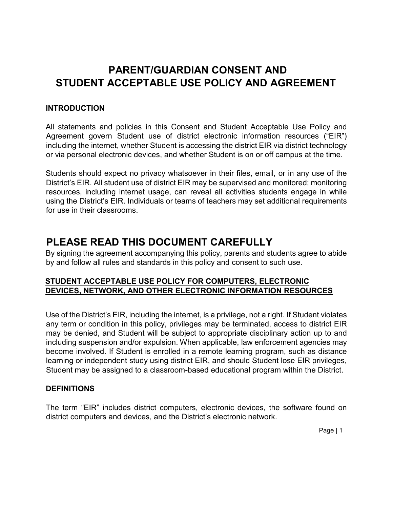# **PARENT/GUARDIAN CONSENT AND STUDENT ACCEPTABLE USE POLICY AND AGREEMENT**

#### **INTRODUCTION**

All statements and policies in this Consent and Student Acceptable Use Policy and Agreement govern Student use of district electronic information resources ("EIR") including the internet, whether Student is accessing the district EIR via district technology or via personal electronic devices, and whether Student is on or off campus at the time.

Students should expect no privacy whatsoever in their files, email, or in any use of the District's EIR. All student use of district EIR may be supervised and monitored; monitoring resources, including internet usage, can reveal all activities students engage in while using the District's EIR. Individuals or teams of teachers may set additional requirements for use in their classrooms.

## **PLEASE READ THIS DOCUMENT CAREFULLY**

By signing the agreement accompanying this policy, parents and students agree to abide by and follow all rules and standards in this policy and consent to such use.

## **STUDENT ACCEPTABLE USE POLICY FOR COMPUTERS, ELECTRONIC DEVICES, NETWORK, AND OTHER ELECTRONIC INFORMATION RESOURCES**

Use of the District's EIR, including the internet, is a privilege, not a right. If Student violates any term or condition in this policy, privileges may be terminated, access to district EIR may be denied, and Student will be subject to appropriate disciplinary action up to and including suspension and/or expulsion. When applicable, law enforcement agencies may become involved. If Student is enrolled in a remote learning program, such as distance learning or independent study using district EIR, and should Student lose EIR privileges, Student may be assigned to a classroom-based educational program within the District.

#### **DEFINITIONS**

The term "EIR" includes district computers, electronic devices, the software found on district computers and devices, and the District's electronic network.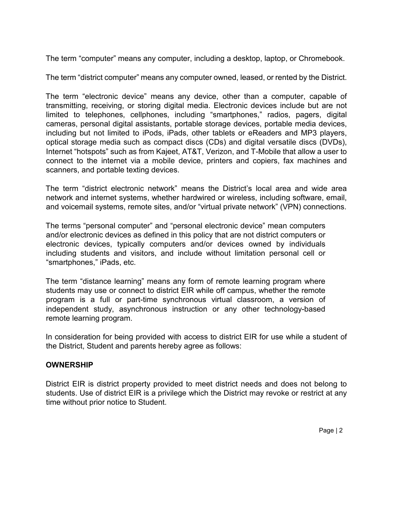The term "computer" means any computer, including a desktop, laptop, or Chromebook.

The term "district computer" means any computer owned, leased, or rented by the District.

The term "electronic device" means any device, other than a computer, capable of transmitting, receiving, or storing digital media. Electronic devices include but are not limited to telephones, cellphones, including "smartphones," radios, pagers, digital cameras, personal digital assistants, portable storage devices, portable media devices, including but not limited to iPods, iPads, other tablets or eReaders and MP3 players, optical storage media such as compact discs (CDs) and digital versatile discs (DVDs), Internet "hotspots" such as from Kajeet, AT&T, Verizon, and T-Mobile that allow a user to connect to the internet via a mobile device, printers and copiers, fax machines and scanners, and portable texting devices.

The term "district electronic network" means the District's local area and wide area network and internet systems, whether hardwired or wireless, including software, email, and voicemail systems, remote sites, and/or "virtual private network" (VPN) connections.

The terms "personal computer" and "personal electronic device" mean computers and/or electronic devices as defined in this policy that are not district computers or electronic devices, typically computers and/or devices owned by individuals including students and visitors, and include without limitation personal cell or "smartphones," iPads, etc.

The term "distance learning" means any form of remote learning program where students may use or connect to district EIR while off campus, whether the remote program is a full or part-time synchronous virtual classroom, a version of independent study, asynchronous instruction or any other technology-based remote learning program.

In consideration for being provided with access to district EIR for use while a student of the District, Student and parents hereby agree as follows:

#### **OWNERSHIP**

District EIR is district property provided to meet district needs and does not belong to students. Use of district EIR is a privilege which the District may revoke or restrict at any time without prior notice to Student.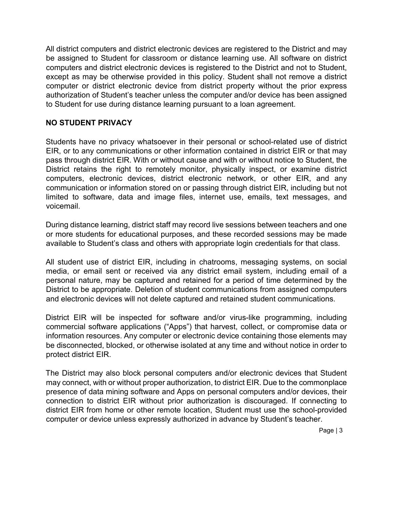All district computers and district electronic devices are registered to the District and may be assigned to Student for classroom or distance learning use. All software on district computers and district electronic devices is registered to the District and not to Student, except as may be otherwise provided in this policy. Student shall not remove a district computer or district electronic device from district property without the prior express authorization of Student's teacher unless the computer and/or device has been assigned to Student for use during distance learning pursuant to a loan agreement.

## **NO STUDENT PRIVACY**

Students have no privacy whatsoever in their personal or school-related use of district EIR, or to any communications or other information contained in district EIR or that may pass through district EIR. With or without cause and with or without notice to Student, the District retains the right to remotely monitor, physically inspect, or examine district computers, electronic devices, district electronic network, or other EIR, and any communication or information stored on or passing through district EIR, including but not limited to software, data and image files, internet use, emails, text messages, and voicemail.

During distance learning, district staff may record live sessions between teachers and one or more students for educational purposes, and these recorded sessions may be made available to Student's class and others with appropriate login credentials for that class.

All student use of district EIR, including in chatrooms, messaging systems, on social media, or email sent or received via any district email system, including email of a personal nature, may be captured and retained for a period of time determined by the District to be appropriate. Deletion of student communications from assigned computers and electronic devices will not delete captured and retained student communications.

District EIR will be inspected for software and/or virus-like programming, including commercial software applications ("Apps") that harvest, collect, or compromise data or information resources. Any computer or electronic device containing those elements may be disconnected, blocked, or otherwise isolated at any time and without notice in order to protect district EIR.

The District may also block personal computers and/or electronic devices that Student may connect, with or without proper authorization, to district EIR. Due to the commonplace presence of data mining software and Apps on personal computers and/or devices, their connection to district EIR without prior authorization is discouraged. If connecting to district EIR from home or other remote location, Student must use the school-provided computer or device unless expressly authorized in advance by Student's teacher.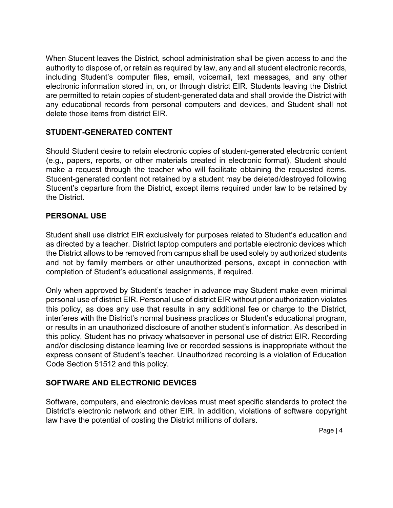When Student leaves the District, school administration shall be given access to and the authority to dispose of, or retain as required by law, any and all student electronic records, including Student's computer files, email, voicemail, text messages, and any other electronic information stored in, on, or through district EIR. Students leaving the District are permitted to retain copies of student-generated data and shall provide the District with any educational records from personal computers and devices, and Student shall not delete those items from district EIR.

## **STUDENT-GENERATED CONTENT**

Should Student desire to retain electronic copies of student-generated electronic content (e.g., papers, reports, or other materials created in electronic format), Student should make a request through the teacher who will facilitate obtaining the requested items. Student-generated content not retained by a student may be deleted/destroyed following Student's departure from the District, except items required under law to be retained by the District.

#### **PERSONAL USE**

Student shall use district EIR exclusively for purposes related to Student's education and as directed by a teacher. District laptop computers and portable electronic devices which the District allows to be removed from campus shall be used solely by authorized students and not by family members or other unauthorized persons, except in connection with completion of Student's educational assignments, if required.

Only when approved by Student's teacher in advance may Student make even minimal personal use of district EIR. Personal use of district EIR without prior authorization violates this policy, as does any use that results in any additional fee or charge to the District, interferes with the District's normal business practices or Student's educational program, or results in an unauthorized disclosure of another student's information. As described in this policy, Student has no privacy whatsoever in personal use of district EIR. Recording and/or disclosing distance learning live or recorded sessions is inappropriate without the express consent of Student's teacher. Unauthorized recording is a violation of Education Code Section 51512 and this policy.

#### **SOFTWARE AND ELECTRONIC DEVICES**

Software, computers, and electronic devices must meet specific standards to protect the District's electronic network and other EIR. In addition, violations of software copyright law have the potential of costing the District millions of dollars.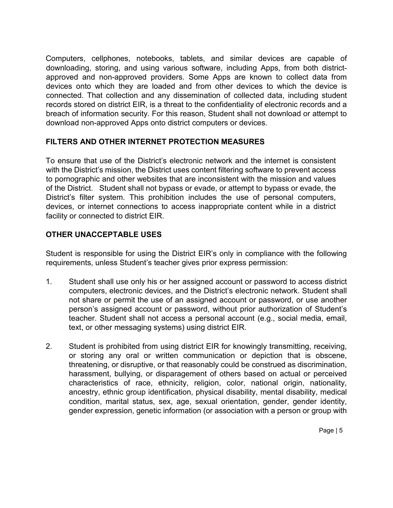Computers, cellphones, notebooks, tablets, and similar devices are capable of downloading, storing, and using various software, including Apps, from both districtapproved and non-approved providers. Some Apps are known to collect data from devices onto which they are loaded and from other devices to which the device is connected. That collection and any dissemination of collected data, including student records stored on district EIR, is a threat to the confidentiality of electronic records and a breach of information security. For this reason, Student shall not download or attempt to download non-approved Apps onto district computers or devices.

#### **FILTERS AND OTHER INTERNET PROTECTION MEASURES**

To ensure that use of the District's electronic network and the internet is consistent with the District's mission, the District uses content filtering software to prevent access to pornographic and other websites that are inconsistent with the mission and values of the District. Student shall not bypass or evade, or attempt to bypass or evade, the District's filter system. This prohibition includes the use of personal computers, devices, or internet connections to access inappropriate content while in a district facility or connected to district EIR.

## **OTHER UNACCEPTABLE USES**

Student is responsible for using the District EIR's only in compliance with the following requirements, unless Student's teacher gives prior express permission:

- 1. Student shall use only his or her assigned account or password to access district computers, electronic devices, and the District's electronic network. Student shall not share or permit the use of an assigned account or password, or use another person's assigned account or password, without prior authorization of Student's teacher. Student shall not access a personal account (e.g., social media, email, text, or other messaging systems) using district EIR.
- 2. Student is prohibited from using district EIR for knowingly transmitting, receiving, or storing any oral or written communication or depiction that is obscene, threatening, or disruptive, or that reasonably could be construed as discrimination, harassment, bullying, or disparagement of others based on actual or perceived characteristics of race, ethnicity, religion, color, national origin, nationality, ancestry, ethnic group identification, physical disability, mental disability, medical condition, marital status, sex, age, sexual orientation, gender, gender identity, gender expression, genetic information (or association with a person or group with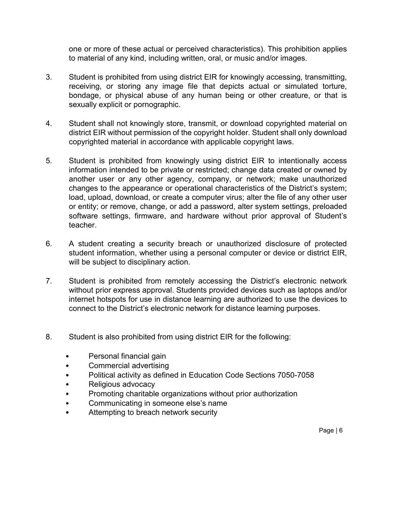one or more of these actual or perceived characteristics). This prohibition applies to material of any kind, including written, oral, or music and/or images.

- 3. Student is prohibited from using district EIR for knowingly accessing, transmitting, receiving, or storing any image file that depicts actual or simulated torture, bondage, or physical abuse of any human being or other creature, or that is sexually explicit or pornographic.
- 4. Student shall not knowingly store, transmit, or download copyrighted material on district EIR without permission of the copyright holder. Student shall only download copyrighted material in accordance with applicable copyright laws.
- 5. Student is prohibited from knowingly using district EIR to intentionally access information intended to be private or restricted; change data created or owned by another user or any other agency, company, or network; make unauthorized changes to the appearance or operational characteristics of the District's system; load, upload, download, or create a computer virus; alter the file of any other user or entity; or remove, change, or add a password, alter system settings, preloaded software settings, firmware, and hardware without prior approval of Student's teacher.
- 6. A student creating a security breach or unauthorized disclosure of protected student information, whether using a personal computer or device or district EIR, will be subject to disciplinary action.
- 7. Student is prohibited from remotely accessing the District's electronic network without prior express approval. Students provided devices such as laptops and/or internet hotspots for use in distance learning are authorized to use the devices to connect to the District's electronic network for distance learning purposes.
- 8. Student is also prohibited from using district EIR for the following:
	- Personal financial gain
	- Commercial advertising
	- Political activity as defined in Education Code Sections 7050-7058
	- Religious advocacy
	- Promoting charitable organizations without prior authorization
	- Communicating in someone else's name
	- Attempting to breach network security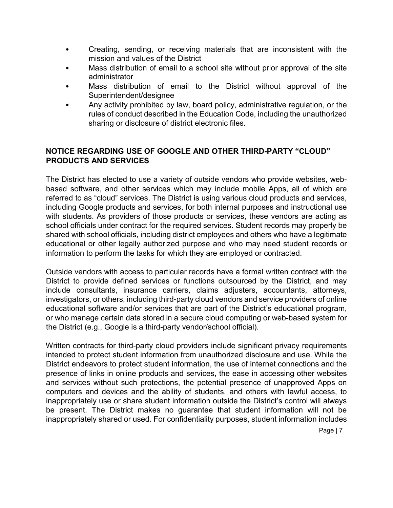- Creating, sending, or receiving materials that are inconsistent with the mission and values of the District
- Mass distribution of email to a school site without prior approval of the site administrator
- Mass distribution of email to the District without approval of the Superintendent/designee
- Any activity prohibited by law, board policy, administrative regulation, or the rules of conduct described in the Education Code, including the unauthorized sharing or disclosure of district electronic files.

#### **NOTICE REGARDING USE OF GOOGLE AND OTHER THIRD-PARTY "CLOUD" PRODUCTS AND SERVICES**

The District has elected to use a variety of outside vendors who provide websites, webbased software, and other services which may include mobile Apps, all of which are referred to as "cloud" services. The District is using various cloud products and services, including Google products and services, for both internal purposes and instructional use with students. As providers of those products or services, these vendors are acting as school officials under contract for the required services. Student records may properly be shared with school officials, including district employees and others who have a legitimate educational or other legally authorized purpose and who may need student records or information to perform the tasks for which they are employed or contracted.

Outside vendors with access to particular records have a formal written contract with the District to provide defined services or functions outsourced by the District, and may include consultants, insurance carriers, claims adjusters, accountants, attorneys, investigators, or others, including third-party cloud vendors and service providers of online educational software and/or services that are part of the District's educational program, or who manage certain data stored in a secure cloud computing or web-based system for the District (e.g., Google is a third-party vendor/school official).

Written contracts for third-party cloud providers include significant privacy requirements intended to protect student information from unauthorized disclosure and use. While the District endeavors to protect student information, the use of internet connections and the presence of links in online products and services, the ease in accessing other websites and services without such protections, the potential presence of unapproved Apps on computers and devices and the ability of students, and others with lawful access, to inappropriately use or share student information outside the District's control will always be present. The District makes no guarantee that student information will not be inappropriately shared or used. For confidentiality purposes, student information includes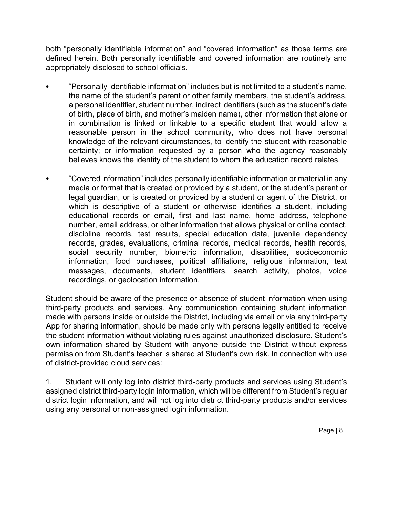both "personally identifiable information" and "covered information" as those terms are defined herein. Both personally identifiable and covered information are routinely and appropriately disclosed to school officials.

- "Personally identifiable information" includes but is not limited to a student's name, the name of the student's parent or other family members, the student's address, a personal identifier, student number, indirect identifiers (such as the student's date of birth, place of birth, and mother's maiden name), other information that alone or in combination is linked or linkable to a specific student that would allow a reasonable person in the school community, who does not have personal knowledge of the relevant circumstances, to identify the student with reasonable certainty; or information requested by a person who the agency reasonably believes knows the identity of the student to whom the education record relates.
- "Covered information" includes personally identifiable information or material in any media or format that is created or provided by a student, or the student's parent or legal guardian, or is created or provided by a student or agent of the District, or which is descriptive of a student or otherwise identifies a student, including educational records or email, first and last name, home address, telephone number, email address, or other information that allows physical or online contact, discipline records, test results, special education data, juvenile dependency records, grades, evaluations, criminal records, medical records, health records, social security number, biometric information, disabilities, socioeconomic information, food purchases, political affiliations, religious information, text messages, documents, student identifiers, search activity, photos, voice recordings, or geolocation information.

Student should be aware of the presence or absence of student information when using third-party products and services. Any communication containing student information made with persons inside or outside the District, including via email or via any third-party App for sharing information, should be made only with persons legally entitled to receive the student information without violating rules against unauthorized disclosure. Student's own information shared by Student with anyone outside the District without express permission from Student's teacher is shared at Student's own risk. In connection with use of district-provided cloud services:

1. Student will only log into district third-party products and services using Student's assigned district third-party login information, which will be different from Student's regular district login information, and will not log into district third-party products and/or services using any personal or non-assigned login information.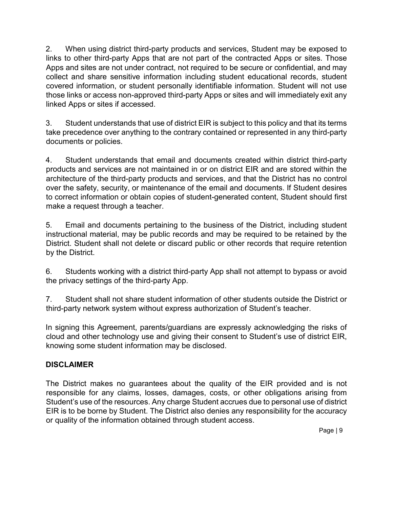2. When using district third-party products and services, Student may be exposed to links to other third-party Apps that are not part of the contracted Apps or sites. Those Apps and sites are not under contract, not required to be secure or confidential, and may collect and share sensitive information including student educational records, student covered information, or student personally identifiable information. Student will not use those links or access non-approved third-party Apps or sites and will immediately exit any linked Apps or sites if accessed.

3. Student understands that use of district EIR is subject to this policy and that its terms take precedence over anything to the contrary contained or represented in any third-party documents or policies.

4. Student understands that email and documents created within district third-party products and services are not maintained in or on district EIR and are stored within the architecture of the third-party products and services, and that the District has no control over the safety, security, or maintenance of the email and documents. If Student desires to correct information or obtain copies of student-generated content, Student should first make a request through a teacher.

5. Email and documents pertaining to the business of the District, including student instructional material, may be public records and may be required to be retained by the District. Student shall not delete or discard public or other records that require retention by the District.

6. Students working with a district third-party App shall not attempt to bypass or avoid the privacy settings of the third-party App.

7. Student shall not share student information of other students outside the District or third-party network system without express authorization of Student's teacher.

In signing this Agreement, parents/guardians are expressly acknowledging the risks of cloud and other technology use and giving their consent to Student's use of district EIR, knowing some student information may be disclosed.

#### **DISCLAIMER**

The District makes no guarantees about the quality of the EIR provided and is not responsible for any claims, losses, damages, costs, or other obligations arising from Student's use of the resources. Any charge Student accrues due to personal use of district EIR is to be borne by Student. The District also denies any responsibility for the accuracy or quality of the information obtained through student access.